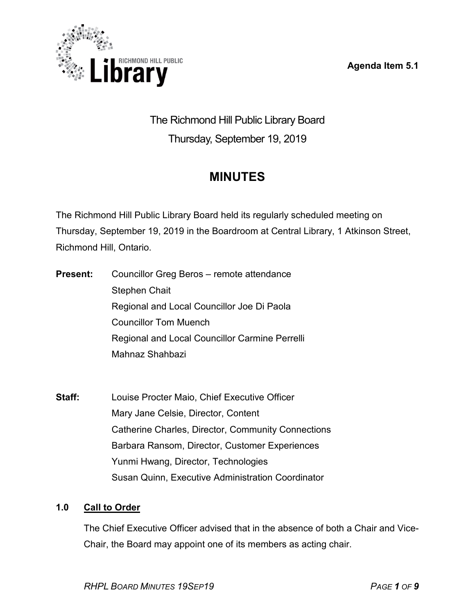**Agenda Item 5.1**



The Richmond Hill Public Library Board Thursday, September 19, 2019

# **MINUTES**

The Richmond Hill Public Library Board held its regularly scheduled meeting on Thursday, September 19, 2019 in the Boardroom at Central Library, 1 Atkinson Street, Richmond Hill, Ontario.

- **Present:** Councillor Greg Beros remote attendance Stephen Chait Regional and Local Councillor Joe Di Paola Councillor Tom Muench Regional and Local Councillor Carmine Perrelli Mahnaz Shahbazi
- **Staff:** Louise Procter Maio, Chief Executive Officer Mary Jane Celsie, Director, Content Catherine Charles, Director, Community Connections Barbara Ransom, Director, Customer Experiences Yunmi Hwang, Director, Technologies Susan Quinn, Executive Administration Coordinator

# **1.0 Call to Order**

The Chief Executive Officer advised that in the absence of both a Chair and Vice-Chair, the Board may appoint one of its members as acting chair.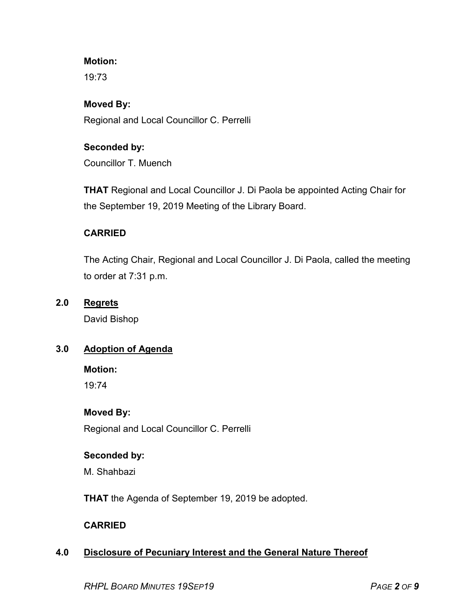# **Motion:**

19:73

#### **Moved By:**

Regional and Local Councillor C. Perrelli

# **Seconded by:**

Councillor T. Muench

**THAT** Regional and Local Councillor J. Di Paola be appointed Acting Chair for the September 19, 2019 Meeting of the Library Board.

# **CARRIED**

The Acting Chair, Regional and Local Councillor J. Di Paola, called the meeting to order at 7:31 p.m.

# **2.0 Regrets**

David Bishop

# **3.0 Adoption of Agenda**

**Motion:**

19:74

# **Moved By:**

Regional and Local Councillor C. Perrelli

#### **Seconded by:**

M. Shahbazi

**THAT** the Agenda of September 19, 2019 be adopted.

#### **CARRIED**

# **4.0 Disclosure of Pecuniary Interest and the General Nature Thereof**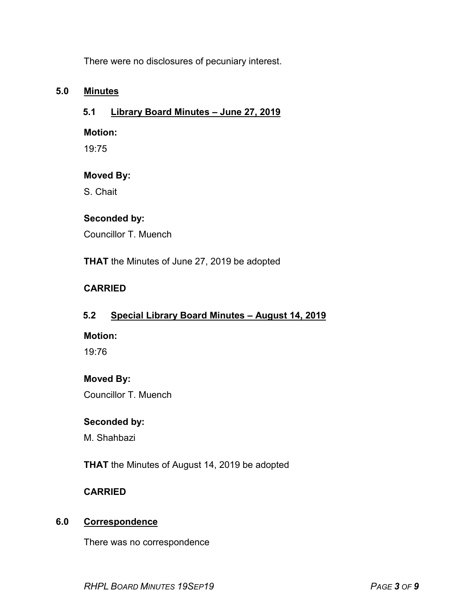There were no disclosures of pecuniary interest.

# **5.0 Minutes**

# **5.1 Library Board Minutes – June 27, 2019**

#### **Motion:**

19:75

# **Moved By:**

S. Chait

# **Seconded by:**

Councillor T. Muench

**THAT** the Minutes of June 27, 2019 be adopted

# **CARRIED**

# **5.2 Special Library Board Minutes – August 14, 2019**

#### **Motion:**

19:76

# **Moved By:**

Councillor T. Muench

# **Seconded by:**

M. Shahbazi

**THAT** the Minutes of August 14, 2019 be adopted

# **CARRIED**

# **6.0 Correspondence**

There was no correspondence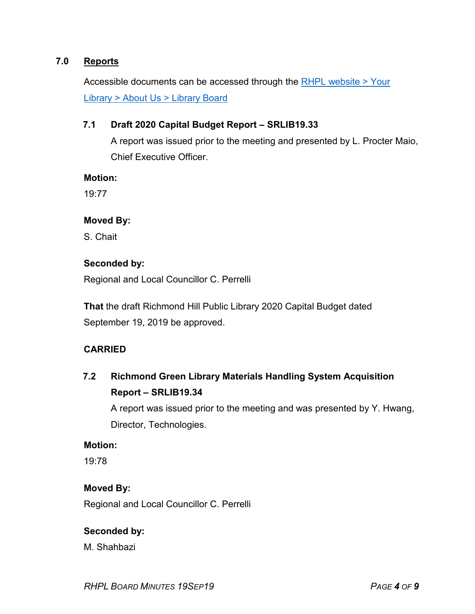# **7.0 Reports**

Accessible documents can be accessed through the [RHPL website > Your](https://www.rhpl.ca/your-library/about-us/library-board)  Library [> About Us > Library](https://www.rhpl.ca/your-library/about-us/library-board) Board

#### **7.1 Draft 2020 Capital Budget Report – SRLIB19.33**

A report was issued prior to the meeting and presented by L. Procter Maio, Chief Executive Officer.

**Motion:**

19:77

#### **Moved By:**

S. Chait

#### **Seconded by:**

Regional and Local Councillor C. Perrelli

**That** the draft Richmond Hill Public Library 2020 Capital Budget dated September 19, 2019 be approved.

#### **CARRIED**

**7.2 Richmond Green Library Materials Handling System Acquisition Report – SRLIB19.34**

A report was issued prior to the meeting and was presented by Y. Hwang, Director, Technologies.

#### **Motion:**

19:78

#### **Moved By:**

Regional and Local Councillor C. Perrelli

#### **Seconded by:**

M. Shahbazi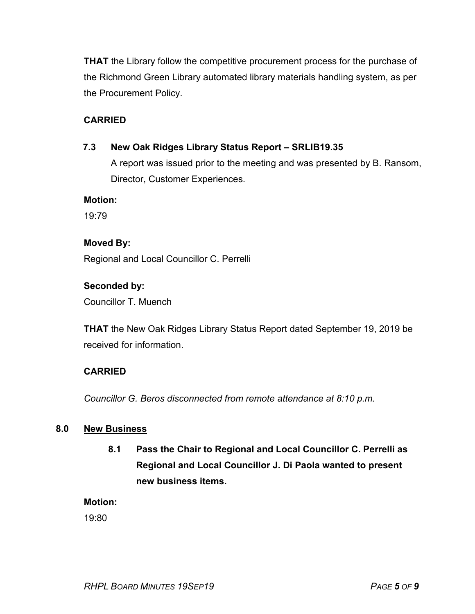**THAT** the Library follow the competitive procurement process for the purchase of the Richmond Green Library automated library materials handling system, as per the Procurement Policy.

# **CARRIED**

# **7.3 New Oak Ridges Library Status Report – SRLIB19.35**

A report was issued prior to the meeting and was presented by B. Ransom, Director, Customer Experiences.

**Motion:**

19:79

# **Moved By:**

Regional and Local Councillor C. Perrelli

# **Seconded by:**

Councillor T. Muench

**THAT** the New Oak Ridges Library Status Report dated September 19, 2019 be received for information.

# **CARRIED**

*Councillor G. Beros disconnected from remote attendance at 8:10 p.m.*

# **8.0 New Business**

**8.1 Pass the Chair to Regional and Local Councillor C. Perrelli as Regional and Local Councillor J. Di Paola wanted to present new business items.**

# **Motion:**

19:80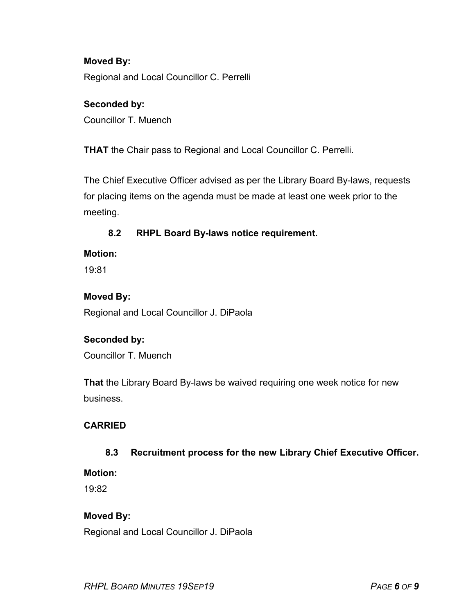# **Moved By:** Regional and Local Councillor C. Perrelli

# **Seconded by:**

Councillor T. Muench

**THAT** the Chair pass to Regional and Local Councillor C. Perrelli.

The Chief Executive Officer advised as per the Library Board By-laws, requests for placing items on the agenda must be made at least one week prior to the meeting.

# **8.2 RHPL Board By-laws notice requirement.**

# **Motion:**

19:81

# **Moved By:**

Regional and Local Councillor J. DiPaola

# **Seconded by:**

Councillor T. Muench

**That** the Library Board By-laws be waived requiring one week notice for new business.

# **CARRIED**

# **8.3 Recruitment process for the new Library Chief Executive Officer.**

#### **Motion:**

19:82

# **Moved By:**

Regional and Local Councillor J. DiPaola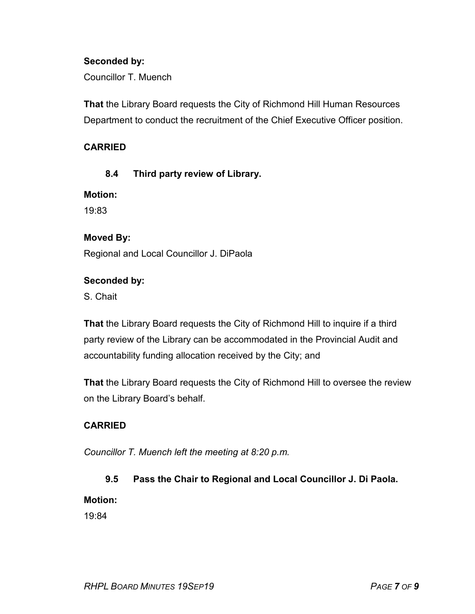#### **Seconded by:**

Councillor T. Muench

**That** the Library Board requests the City of Richmond Hill Human Resources Department to conduct the recruitment of the Chief Executive Officer position.

# **CARRIED**

# **8.4 Third party review of Library.**

**Motion:**

19:83

#### **Moved By:**

Regional and Local Councillor J. DiPaola

#### **Seconded by:**

S. Chait

**That** the Library Board requests the City of Richmond Hill to inquire if a third party review of the Library can be accommodated in the Provincial Audit and accountability funding allocation received by the City; and

**That** the Library Board requests the City of Richmond Hill to oversee the review on the Library Board's behalf.

# **CARRIED**

*Councillor T. Muench left the meeting at 8:20 p.m.*

# **9.5 Pass the Chair to Regional and Local Councillor J. Di Paola.**

#### **Motion:**

19:84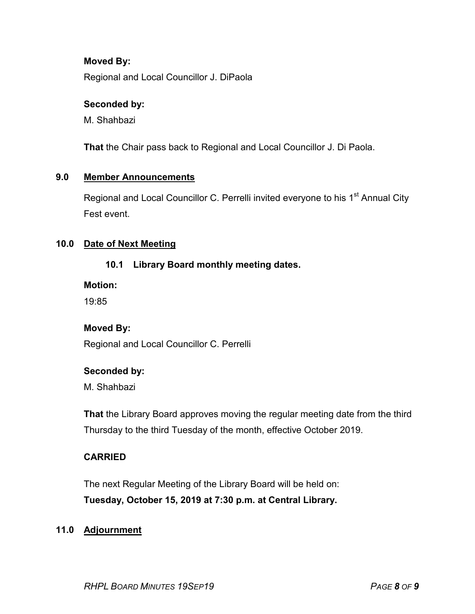#### **Moved By:**

Regional and Local Councillor J. DiPaola

#### **Seconded by:**

M. Shahbazi

**That** the Chair pass back to Regional and Local Councillor J. Di Paola.

#### **9.0 Member Announcements**

Regional and Local Councillor C. Perrelli invited everyone to his 1<sup>st</sup> Annual City Fest event.

#### **10.0 Date of Next Meeting**

# **10.1 Library Board monthly meeting dates.**

**Motion:**

19:85

# **Moved By:**

Regional and Local Councillor C. Perrelli

#### **Seconded by:**

M. Shahbazi

**That** the Library Board approves moving the regular meeting date from the third Thursday to the third Tuesday of the month, effective October 2019.

# **CARRIED**

The next Regular Meeting of the Library Board will be held on: **Tuesday, October 15, 2019 at 7:30 p.m. at Central Library.**

#### **11.0 Adjournment**